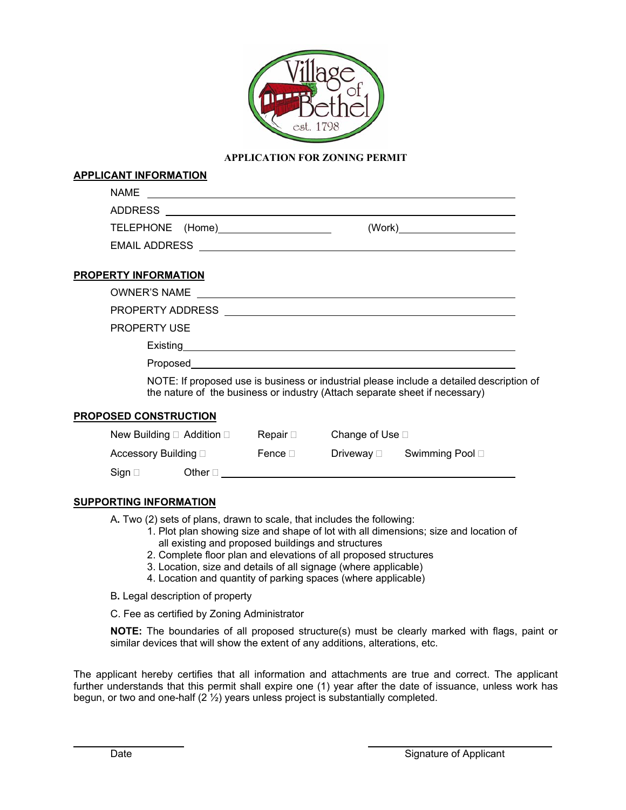

## **APPLICATION FOR ZONING PERMIT**

## **APPLICANT INFORMATION**

| <b>NAME</b>          |        |
|----------------------|--------|
| <b>ADDRESS</b>       |        |
| TELEPHONE (Home)     | (Work) |
| <b>EMAIL ADDRESS</b> |        |

## **PROPERTY INFORMATION**

PROPERTY ADDRESS

PROPERTY USE

Existing

Proposed

 NOTE: If proposed use is business or industrial please include a detailed description of the nature of the business or industry (Attach separate sheet if necessary)

#### **PROPOSED CONSTRUCTION**

|                              | New Building $\Box$ Addition $\Box$ |              | Change of Use $\square$ |                 |  |
|------------------------------|-------------------------------------|--------------|-------------------------|-----------------|--|
| Accessory Building $\square$ |                                     | Fence $\Box$ | Driveway ⊡              | Swimming Pool □ |  |
| Sian $\square$               | Other $\sqcap$                      |              |                         |                 |  |

## **SUPPORTING INFORMATION**

A**.** Two (2) sets of plans, drawn to scale, that includes the following:

- 1. Plot plan showing size and shape of lot with all dimensions; size and location of all existing and proposed buildings and structures
- 2. Complete floor plan and elevations of all proposed structures
- 3. Location, size and details of all signage (where applicable)
- 4. Location and quantity of parking spaces (where applicable)
- B**.** Legal description of property
- C. Fee as certified by Zoning Administrator

**NOTE:** The boundaries of all proposed structure(s) must be clearly marked with flags, paint or similar devices that will show the extent of any additions, alterations, etc.

The applicant hereby certifies that all information and attachments are true and correct. The applicant further understands that this permit shall expire one (1) year after the date of issuance, unless work has begun, or two and one-half (2 ½) years unless project is substantially completed.

 $\overline{a}$